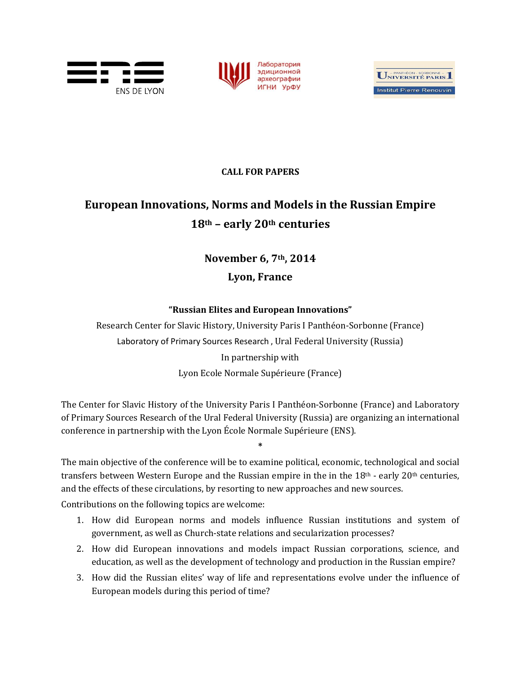





## **CALL FOR PAPERS**

## **European Innovations, Norms and Models in the Russian Empire 18th – early 20th centuries**

## **November 6, 7th, 2014 Lyon, France**

## **"Russian Elites and European Innovations"**

Research Center for Slavic History, University Paris I Panthéon-Sorbonne (France) Laboratory of Primary Sources Research , Ural Federal University (Russia) In partnership with

Lyon Ecole Normale Supérieure (France)

The Center for Slavic History of the University Paris I Panthéon-Sorbonne (France) and Laboratory of Primary Sources Research of the Ural Federal University (Russia) are organizing an international conference in partnership with the Lyon École Normale Supérieure (ENS).

The main objective of the conference will be to examine political, economic, technological and social transfers between Western Europe and the Russian empire in the in the  $18<sup>th</sup>$  - early  $20<sup>th</sup>$  centuries, and the effects of these circulations, by resorting to new approaches and new sources.

**\***

Contributions on the following topics are welcome:

- 1. How did European norms and models influence Russian institutions and system of government, as well as Church-state relations and secularization processes?
- 2. How did European innovations and models impact Russian corporations, science, and education, as well as the development of technology and production in the Russian empire?
- 3. How did the Russian elites' way of life and representations evolve under the influence of European models during this period of time?